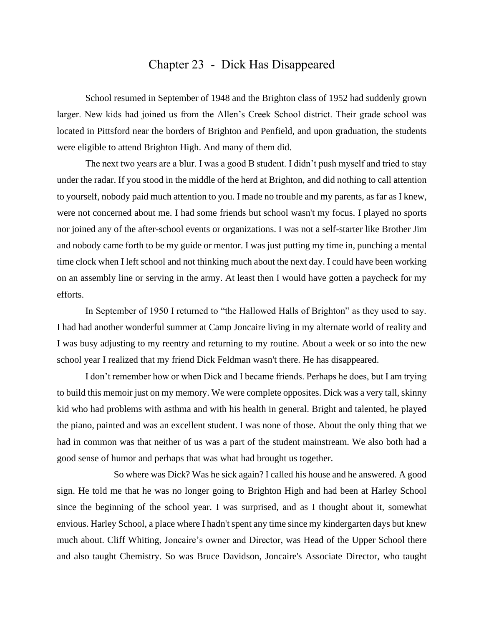## Chapter 23 - Dick Has Disappeared

School resumed in September of 1948 and the Brighton class of 1952 had suddenly grown larger. New kids had joined us from the Allen's Creek School district. Their grade school was located in Pittsford near the borders of Brighton and Penfield, and upon graduation, the students were eligible to attend Brighton High. And many of them did.

The next two years are a blur. I was a good B student. I didn't push myself and tried to stay under the radar. If you stood in the middle of the herd at Brighton, and did nothing to call attention to yourself, nobody paid much attention to you. I made no trouble and my parents, as far as I knew, were not concerned about me. I had some friends but school wasn't my focus. I played no sports nor joined any of the after-school events or organizations. I was not a self-starter like Brother Jim and nobody came forth to be my guide or mentor. I was just putting my time in, punching a mental time clock when I left school and not thinking much about the next day. I could have been working on an assembly line or serving in the army. At least then I would have gotten a paycheck for my efforts.

In September of 1950 I returned to "the Hallowed Halls of Brighton" as they used to say. I had had another wonderful summer at Camp Joncaire living in my alternate world of reality and I was busy adjusting to my reentry and returning to my routine. About a week or so into the new school year I realized that my friend Dick Feldman wasn't there. He has disappeared.

I don't remember how or when Dick and I became friends. Perhaps he does, but I am trying to build this memoir just on my memory. We were complete opposites. Dick was a very tall, skinny kid who had problems with asthma and with his health in general. Bright and talented, he played the piano, painted and was an excellent student. I was none of those. About the only thing that we had in common was that neither of us was a part of the student mainstream. We also both had a good sense of humor and perhaps that was what had brought us together.

So where was Dick? Was he sick again? I called his house and he answered. A good sign. He told me that he was no longer going to Brighton High and had been at Harley School since the beginning of the school year. I was surprised, and as I thought about it, somewhat envious. Harley School, a place where I hadn't spent any time since my kindergarten days but knew much about. Cliff Whiting, Joncaire's owner and Director, was Head of the Upper School there and also taught Chemistry. So was Bruce Davidson, Joncaire's Associate Director, who taught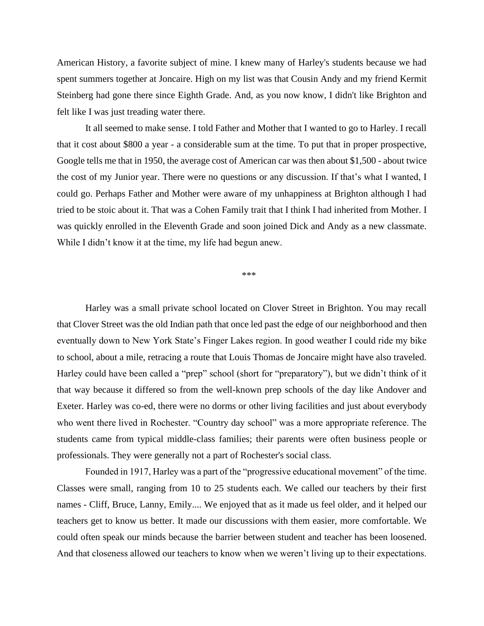American History, a favorite subject of mine. I knew many of Harley's students because we had spent summers together at Joncaire. High on my list was that Cousin Andy and my friend Kermit Steinberg had gone there since Eighth Grade. And, as you now know, I didn't like Brighton and felt like I was just treading water there.

It all seemed to make sense. I told Father and Mother that I wanted to go to Harley. I recall that it cost about \$800 a year - a considerable sum at the time. To put that in proper prospective, Google tells me that in 1950, the average cost of American car was then about \$1,500 - about twice the cost of my Junior year. There were no questions or any discussion. If that's what I wanted, I could go. Perhaps Father and Mother were aware of my unhappiness at Brighton although I had tried to be stoic about it. That was a Cohen Family trait that I think I had inherited from Mother. I was quickly enrolled in the Eleventh Grade and soon joined Dick and Andy as a new classmate. While I didn't know it at the time, my life had begun anew.

\*\*\*

Harley was a small private school located on Clover Street in Brighton. You may recall that Clover Street was the old Indian path that once led past the edge of our neighborhood and then eventually down to New York State's Finger Lakes region. In good weather I could ride my bike to school, about a mile, retracing a route that Louis Thomas de Joncaire might have also traveled. Harley could have been called a "prep" school (short for "preparatory"), but we didn't think of it that way because it differed so from the well-known prep schools of the day like Andover and Exeter. Harley was co-ed, there were no dorms or other living facilities and just about everybody who went there lived in Rochester. "Country day school" was a more appropriate reference. The students came from typical middle-class families; their parents were often business people or professionals. They were generally not a part of Rochester's social class.

Founded in 1917, Harley was a part of the "progressive educational movement" of the time. Classes were small, ranging from 10 to 25 students each. We called our teachers by their first names - Cliff, Bruce, Lanny, Emily.... We enjoyed that as it made us feel older, and it helped our teachers get to know us better. It made our discussions with them easier, more comfortable. We could often speak our minds because the barrier between student and teacher has been loosened. And that closeness allowed our teachers to know when we weren't living up to their expectations.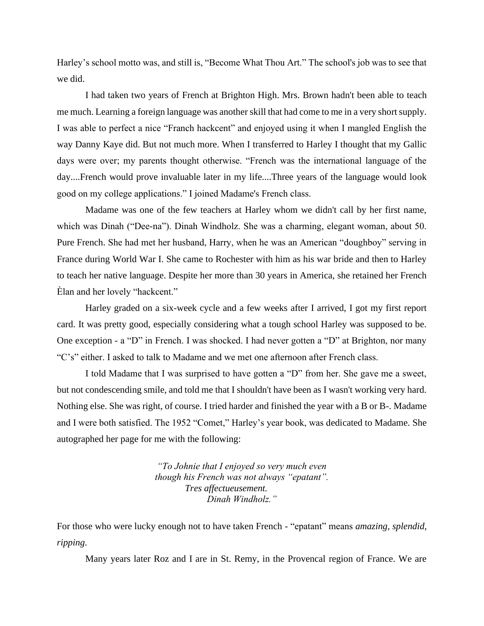Harley's school motto was, and still is, "Become What Thou Art." The school's job was to see that we did.

I had taken two years of French at Brighton High. Mrs. Brown hadn't been able to teach me much. Learning a foreign language was another skill that had come to me in a very short supply. I was able to perfect a nice "Franch hackcent" and enjoyed using it when I mangled English the way Danny Kaye did. But not much more. When I transferred to Harley I thought that my Gallic days were over; my parents thought otherwise. "French was the international language of the day....French would prove invaluable later in my life....Three years of the language would look good on my college applications." I joined Madame's French class.

Madame was one of the few teachers at Harley whom we didn't call by her first name, which was Dinah ("Dee-na"). Dinah Windholz. She was a charming, elegant woman, about 50. Pure French. She had met her husband, Harry, when he was an American "doughboy" serving in France during World War I. She came to Rochester with him as his war bride and then to Harley to teach her native language. Despite her more than 30 years in America, she retained her French Èlan and her lovely "hackcent."

Harley graded on a six-week cycle and a few weeks after I arrived, I got my first report card. It was pretty good, especially considering what a tough school Harley was supposed to be. One exception - a "D" in French. I was shocked. I had never gotten a "D" at Brighton, nor many "C's" either. I asked to talk to Madame and we met one afternoon after French class.

I told Madame that I was surprised to have gotten a "D" from her. She gave me a sweet, but not condescending smile, and told me that I shouldn't have been as I wasn't working very hard. Nothing else. She was right, of course. I tried harder and finished the year with a B or B-. Madame and I were both satisfied. The 1952 "Comet," Harley's year book, was dedicated to Madame. She autographed her page for me with the following:

> *"To Johnie that I enjoyed so very much even though his French was not always "epatant". Tres affectueusement. Dinah Windholz."*

For those who were lucky enough not to have taken French - "epatant" means *amazing, splendid, ripping*.

Many years later Roz and I are in St. Remy, in the Provencal region of France. We are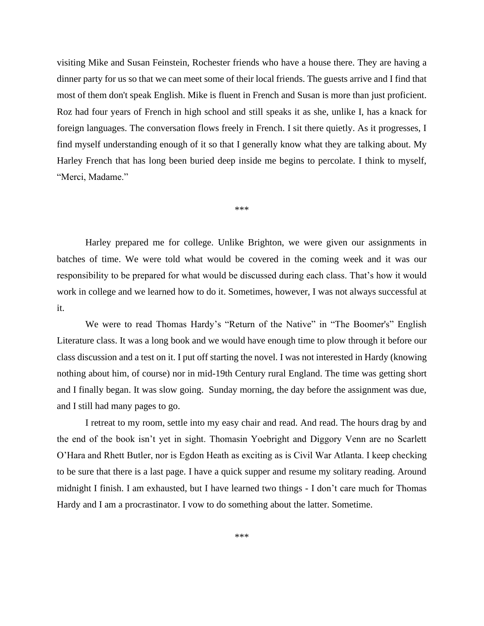visiting Mike and Susan Feinstein, Rochester friends who have a house there. They are having a dinner party for us so that we can meet some of their local friends. The guests arrive and I find that most of them don't speak English. Mike is fluent in French and Susan is more than just proficient. Roz had four years of French in high school and still speaks it as she, unlike I, has a knack for foreign languages. The conversation flows freely in French. I sit there quietly. As it progresses, I find myself understanding enough of it so that I generally know what they are talking about. My Harley French that has long been buried deep inside me begins to percolate. I think to myself, "Merci, Madame."

\*\*\*

Harley prepared me for college. Unlike Brighton, we were given our assignments in batches of time. We were told what would be covered in the coming week and it was our responsibility to be prepared for what would be discussed during each class. That's how it would work in college and we learned how to do it. Sometimes, however, I was not always successful at it.

We were to read Thomas Hardy's "Return of the Native" in "The Boomer's" English Literature class. It was a long book and we would have enough time to plow through it before our class discussion and a test on it. I put off starting the novel. I was not interested in Hardy (knowing nothing about him, of course) nor in mid-19th Century rural England. The time was getting short and I finally began. It was slow going. Sunday morning, the day before the assignment was due, and I still had many pages to go.

I retreat to my room, settle into my easy chair and read. And read. The hours drag by and the end of the book isn't yet in sight. Thomasin Yoebright and Diggory Venn are no Scarlett O'Hara and Rhett Butler, nor is Egdon Heath as exciting as is Civil War Atlanta. I keep checking to be sure that there is a last page. I have a quick supper and resume my solitary reading. Around midnight I finish. I am exhausted, but I have learned two things - I don't care much for Thomas Hardy and I am a procrastinator. I vow to do something about the latter. Sometime.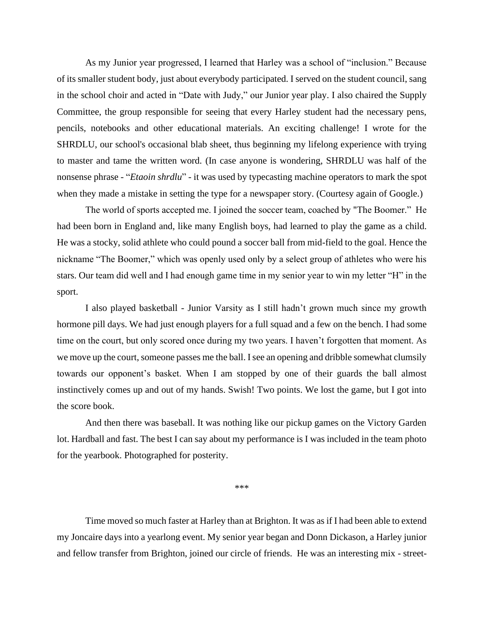As my Junior year progressed, I learned that Harley was a school of "inclusion." Because of its smaller student body, just about everybody participated. I served on the student council, sang in the school choir and acted in "Date with Judy," our Junior year play. I also chaired the Supply Committee, the group responsible for seeing that every Harley student had the necessary pens, pencils, notebooks and other educational materials. An exciting challenge! I wrote for the SHRDLU, our school's occasional blab sheet, thus beginning my lifelong experience with trying to master and tame the written word. (In case anyone is wondering, SHRDLU was half of the nonsense phrase - "*Etaoin shrdlu*" - it was used by typecasting machine operators to mark the spot when they made a mistake in setting the type for a newspaper story. (Courtesy again of Google.)

The world of sports accepted me. I joined the soccer team, coached by "The Boomer." He had been born in England and, like many English boys, had learned to play the game as a child. He was a stocky, solid athlete who could pound a soccer ball from mid-field to the goal. Hence the nickname "The Boomer," which was openly used only by a select group of athletes who were his stars. Our team did well and I had enough game time in my senior year to win my letter "H" in the sport.

I also played basketball - Junior Varsity as I still hadn't grown much since my growth hormone pill days. We had just enough players for a full squad and a few on the bench. I had some time on the court, but only scored once during my two years. I haven't forgotten that moment. As we move up the court, someone passes me the ball. I see an opening and dribble somewhat clumsily towards our opponent's basket. When I am stopped by one of their guards the ball almost instinctively comes up and out of my hands. Swish! Two points. We lost the game, but I got into the score book.

And then there was baseball. It was nothing like our pickup games on the Victory Garden lot. Hardball and fast. The best I can say about my performance is I was included in the team photo for the yearbook. Photographed for posterity.

\*\*\*

Time moved so much faster at Harley than at Brighton. It was as if I had been able to extend my Joncaire days into a yearlong event. My senior year began and Donn Dickason, a Harley junior and fellow transfer from Brighton, joined our circle of friends. He was an interesting mix - street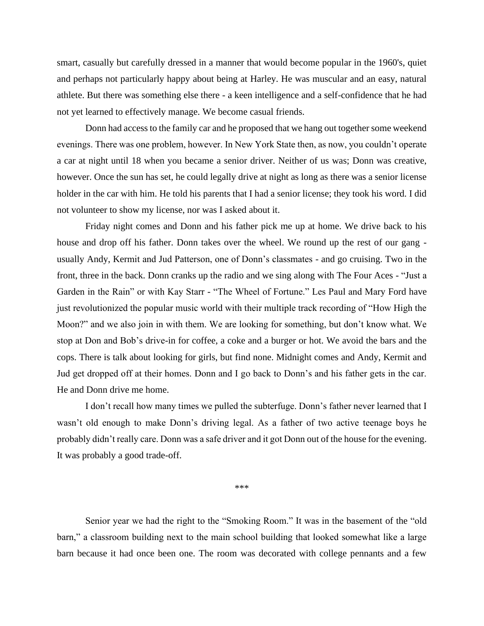smart, casually but carefully dressed in a manner that would become popular in the 1960's, quiet and perhaps not particularly happy about being at Harley. He was muscular and an easy, natural athlete. But there was something else there - a keen intelligence and a self-confidence that he had not yet learned to effectively manage. We become casual friends.

Donn had access to the family car and he proposed that we hang out together some weekend evenings. There was one problem, however. In New York State then, as now, you couldn't operate a car at night until 18 when you became a senior driver. Neither of us was; Donn was creative, however. Once the sun has set, he could legally drive at night as long as there was a senior license holder in the car with him. He told his parents that I had a senior license; they took his word. I did not volunteer to show my license, nor was I asked about it.

Friday night comes and Donn and his father pick me up at home. We drive back to his house and drop off his father. Donn takes over the wheel. We round up the rest of our gang usually Andy, Kermit and Jud Patterson, one of Donn's classmates - and go cruising. Two in the front, three in the back. Donn cranks up the radio and we sing along with The Four Aces - "Just a Garden in the Rain" or with Kay Starr - "The Wheel of Fortune." Les Paul and Mary Ford have just revolutionized the popular music world with their multiple track recording of "How High the Moon?" and we also join in with them. We are looking for something, but don't know what. We stop at Don and Bob's drive-in for coffee, a coke and a burger or hot. We avoid the bars and the cops. There is talk about looking for girls, but find none. Midnight comes and Andy, Kermit and Jud get dropped off at their homes. Donn and I go back to Donn's and his father gets in the car. He and Donn drive me home.

I don't recall how many times we pulled the subterfuge. Donn's father never learned that I wasn't old enough to make Donn's driving legal. As a father of two active teenage boys he probably didn't really care. Donn was a safe driver and it got Donn out of the house for the evening. It was probably a good trade-off.

\*\*\*

Senior year we had the right to the "Smoking Room." It was in the basement of the "old barn," a classroom building next to the main school building that looked somewhat like a large barn because it had once been one. The room was decorated with college pennants and a few